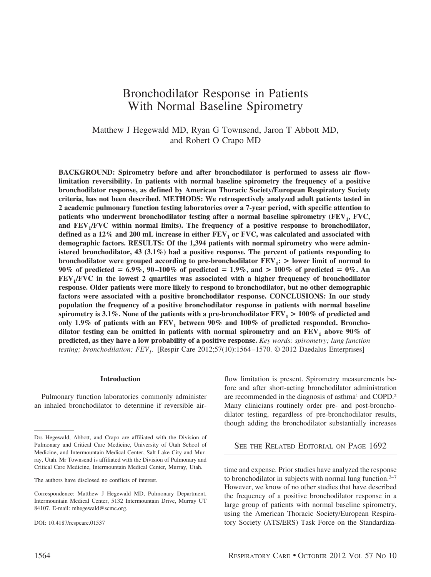# Bronchodilator Response in Patients With Normal Baseline Spirometry

Matthew J Hegewald MD, Ryan G Townsend, Jaron T Abbott MD, and Robert O Crapo MD

**BACKGROUND: Spirometry before and after bronchodilator is performed to assess air flowlimitation reversibility. In patients with normal baseline spirometry the frequency of a positive bronchodilator response, as defined by American Thoracic Society/European Respiratory Society criteria, has not been described. METHODS: We retrospectively analyzed adult patients tested in 2 academic pulmonary function testing laboratories over a 7-year period, with specific attention to** patients who underwent bronchodilator testing after a normal baseline spirometry (FEV<sub>1</sub>, FVC, and FEV<sub>1</sub>/FVC within normal limits). The frequency of a positive response to bronchodilator, defined as a  $12\%$  and  $200$  mL increase in either  $FEV<sub>1</sub>$  or  $FVC$ , was calculated and associated with **demographic factors. RESULTS: Of the 1,394 patients with normal spirometry who were administered bronchodilator, 43 (3.1%) had a positive response. The percent of patients responding to bronchodilator were grouped according to pre-bronchodilator**  $\text{FEV}_1$ **:**  $>$  **lower limit of normal to 90% of predicted 6.9%, 90 –100% of predicted 1.9%, and > 100% of predicted 0%. An FEV<sub>1</sub>/FVC in the lowest 2 quartiles was associated with a higher frequency of bronchodilator response. Older patients were more likely to respond to bronchodilator, but no other demographic factors were associated with a positive bronchodilator response. CONCLUSIONS: In our study population the frequency of a positive bronchodilator response in patients with normal baseline** spirometry is 3.1%. None of the patients with a pre-bronchodilator  $FEV_1 > 100\%$  of predicted and only 1.9% of patients with an  $FEV<sub>1</sub>$  between 90% and 100% of predicted responded. Bronchodilator testing can be omitted in patients with normal spirometry and an  $FEV<sub>1</sub>$  above  $90\%$  of **predicted, as they have a low probability of a positive response.** *Key words: spirometry; lung function testing; bronchodilation; FEV<sub>1</sub>.* [Respir Care 2012;57(10):1564–1570. © 2012 Daedalus Enterprises]

## **Introduction**

Pulmonary function laboratories commonly administer an inhaled bronchodilator to determine if reversible airflow limitation is present. Spirometry measurements before and after short-acting bronchodilator administration are recommended in the diagnosis of asthma<sup>1</sup> and COPD.<sup>2</sup> Many clinicians routinely order pre- and post-bronchodilator testing, regardless of pre-bronchodilator results, though adding the bronchodilator substantially increases

SEE THE RELATED EDITORIAL ON PAGE 1692

time and expense. Prior studies have analyzed the response to bronchodilator in subjects with normal lung function.3–7 However, we know of no other studies that have described the frequency of a positive bronchodilator response in a large group of patients with normal baseline spirometry, using the American Thoracic Society/European Respiratory Society (ATS/ERS) Task Force on the Standardiza-

Drs Hegewald, Abbott, and Crapo are affiliated with the Division of Pulmonary and Critical Care Medicine, University of Utah School of Medicine, and Intermountain Medical Center, Salt Lake City and Murray, Utah. Mr Townsend is affiliated with the Division of Pulmonary and Critical Care Medicine, Intermountain Medical Center, Murray, Utah.

The authors have disclosed no conflicts of interest.

Correspondence: Matthew J Hegewald MD, Pulmonary Department, Intermountain Medical Center, 5132 Intermountain Drive, Murray UT 84107. E-mail: mhegewald@scmc.org.

DOI: 10.4187/respcare.01537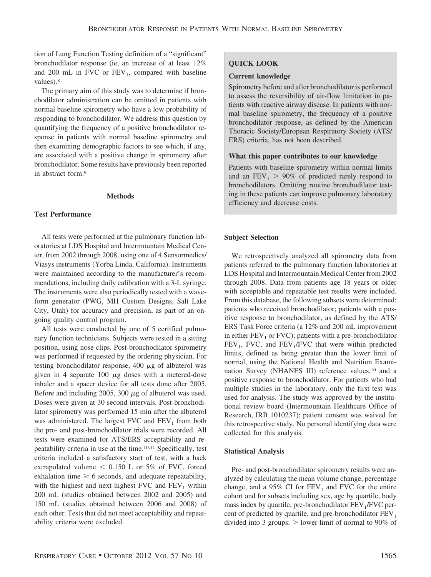tion of Lung Function Testing definition of a "significant" bronchodilator response (ie, an increase of at least 12% and 200 mL in FVC or  $FEV<sub>1</sub>$ , compared with baseline values).8

The primary aim of this study was to determine if bronchodilator administration can be omitted in patients with normal baseline spirometry who have a low probability of responding to bronchodilator. We address this question by quantifying the frequency of a positive bronchodilator response in patients with normal baseline spirometry and then examining demographic factors to see which, if any, are associated with a positive change in spirometry after bronchodilator. Some results have previously been reported in abstract form.9

## **Methods**

# **Test Performance**

All tests were performed at the pulmonary function laboratories at LDS Hospital and Intermountain Medical Center, from 2002 through 2008, using one of 4 Sensormedics/ Viasys instruments (Yorba Linda, California). Instruments were maintained according to the manufacturer's recommendations, including daily calibration with a 3-L syringe. The instruments were also periodically tested with a waveform generator (PWG, MH Custom Designs, Salt Lake City, Utah) for accuracy and precision, as part of an ongoing quality control program.

All tests were conducted by one of 5 certified pulmonary function technicians. Subjects were tested in a sitting position, using nose clips. Post-bronchodilator spirometry was performed if requested by the ordering physician. For testing bronchodilator response, 400  $\mu$ g of albuterol was given in 4 separate 100  $\mu$ g doses with a metered-dose inhaler and a spacer device for all tests done after 2005. Before and including 2005, 300  $\mu$ g of albuterol was used. Doses were given at 30 second intervals. Post-bronchodilator spirometry was performed 15 min after the albuterol was administered. The largest FVC and  $FEV<sub>1</sub>$  from both the pre- and post-bronchodilator trials were recorded. All tests were examined for ATS/ERS acceptability and repeatability criteria in use at the time.10,11 Specifically, test criteria included a satisfactory start of test, with a back extrapolated volume  $\leq 0.150$  L or 5% of FVC, forced exhalation time  $\geq 6$  seconds, and adequate repeatability, with the highest and next highest FVC and  $FEV<sub>1</sub>$  within 200 mL (studies obtained between 2002 and 2005) and 150 mL (studies obtained between 2006 and 2008) of each other. Tests that did not meet acceptability and repeatability criteria were excluded.

# **QUICK LOOK**

# **Current knowledge**

Spirometry before and after bronchodilator is performed to assess the reversibility of air-flow limitation in patients with reactive airway disease. In patients with normal baseline spirometry, the frequency of a positive bronchodilator response, as defined by the American Thoracic Society/European Respiratory Society (ATS/ ERS) criteria, has not been described.

# **What this paper contributes to our knowledge**

Patients with baseline spirometry within normal limits and an  $FEV_1 > 90\%$  of predicted rarely respond to bronchodilators. Omitting routine bronchodilator testing in these patients can improve pulmonary laboratory efficiency and decrease costs.

# **Subject Selection**

We retrospectively analyzed all spirometry data from patients referred to the pulmonary function laboratories at LDS Hospital and Intermountain Medical Center from 2002 through 2008. Data from patients age 18 years or older with acceptable and repeatable test results were included. From this database, the following subsets were determined: patients who received bronchodilator; patients with a positive response to bronchodilator, as defined by the ATS/ ERS Task Force criteria (a 12% and 200 mL improvement in either  $FEV<sub>1</sub>$  or  $FVC$ ); patients with a pre-bronchodilator  $FEV<sub>1</sub>$ , FVC, and  $FEV<sub>1</sub>/FVC$  that were within predicted limits, defined as being greater than the lower limit of normal, using the National Health and Nutrition Examination Survey (NHANES III) reference values,<sup>10</sup> and a positive response to bronchodilator. For patients who had multiple studies in the laboratory, only the first test was used for analysis. The study was approved by the institutional review board (Intermountain Healthcare Office of Research, IRB 1010237); patient consent was waived for this retrospective study. No personal identifying data were collected for this analysis.

# **Statistical Analysis**

Pre- and post-bronchodilator spirometry results were analyzed by calculating the mean volume change, percentage change, and a 95% CI for  $FEV_1$  and FVC for the entire cohort and for subsets including sex, age by quartile, body mass index by quartile, pre-bronchodilator  $FEV<sub>1</sub>/FVC$  percent of predicted by quartile, and pre-bronchodilator  $FEV<sub>1</sub>$ divided into 3 groups:  $>$  lower limit of normal to 90% of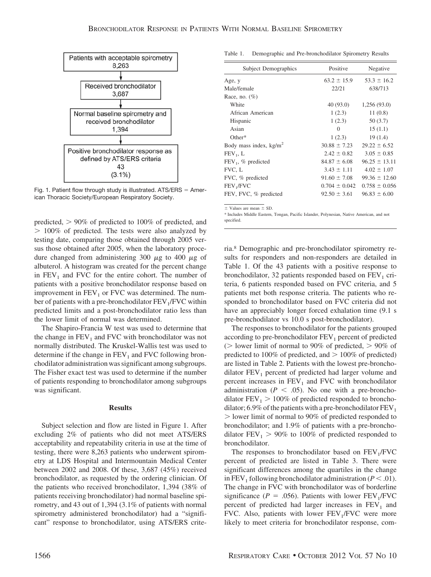

Fig. 1. Patient flow through study is illustrated.  $ATS/ERS = Amer$ ican Thoracic Society/European Respiratory Society.

predicted,  $> 90\%$  of predicted to 100% of predicted, and - 100% of predicted. The tests were also analyzed by testing date, comparing those obtained through 2005 versus those obtained after 2005, when the laboratory procedure changed from administering 300  $\mu$ g to 400  $\mu$ g of albuterol. A histogram was created for the percent change in  $FEV<sub>1</sub>$  and FVC for the entire cohort. The number of patients with a positive bronchodilator response based on improvement in  $FEV<sub>1</sub>$  or FVC was determined. The number of patients with a pre-bronchodilator FEV<sub>1</sub>/FVC within predicted limits and a post-bronchodilator ratio less than the lower limit of normal was determined.

The Shapiro-Francia W test was used to determine that the change in  $FEV<sub>1</sub>$  and FVC with bronchodilator was not normally distributed. The Kruskel-Wallis test was used to determine if the change in  $FEV<sub>1</sub>$  and FVC following bronchodilator administration was significant among subgroups. The Fisher exact test was used to determine if the number of patients responding to bronchodilator among subgroups was significant.

## **Results**

Subject selection and flow are listed in Figure 1. After excluding 2% of patients who did not meet ATS/ERS acceptability and repeatability criteria in use at the time of testing, there were 8,263 patients who underwent spirometry at LDS Hospital and Intermountain Medical Center between 2002 and 2008. Of these, 3,687 (45%) received bronchodilator, as requested by the ordering clinician. Of the patients who received bronchodilator, 1,394 (38% of patients receiving bronchodilator) had normal baseline spirometry, and 43 out of 1,394 (3.1% of patients with normal spirometry administered bronchodilator) had a "significant" response to bronchodilator, using ATS/ERS crite-

Table 1. Demographic and Pre-bronchodilator Spirometry Results

| <b>Subject Demographics</b>        | Positive          | Negative          |
|------------------------------------|-------------------|-------------------|
| Age, y                             | $63.2 \pm 15.9$   | $53.3 \pm 16.2$   |
| Male/female                        | 22/21             | 638/713           |
| Race, no. $(\%)$                   |                   |                   |
| White                              | 40 (93.0)         | 1,256(93.0)       |
| African American                   | 1(2.3)            | 11(0.8)           |
| Hispanic                           | 1(2.3)            | 50(3.7)           |
| Asian                              | $\Omega$          | 15(1.1)           |
| $Other*$                           | 1(2.3)            | 19(1.4)           |
| Body mass index, kg/m <sup>2</sup> | $30.88 \pm 7.23$  | $29.22 \pm 6.52$  |
| $FEV_1, L$                         | $2.42 \pm 0.82$   | $3.05 \pm 0.85$   |
| FEV <sub>1</sub> , % predicted     | $84.87 \pm 6.08$  | $96.25 \pm 13.11$ |
| FVC, L                             | $3.43 \pm 1.11$   | $4.02 \pm 1.07$   |
| FVC, % predicted                   | $91.60 \pm 7.08$  | $99.36 \pm 12.60$ |
| FEV <sub>1</sub> /FVC              | $0.704 \pm 0.042$ | $0.758 \pm 0.056$ |
| FEV, FVC, % predicted              | $92.50 \pm 3.61$  | $96.83 \pm 6.00$  |

 $\pm$  Values are mean  $\pm$  SD.

\* Includes Middle Eastern, Tongan, Pacific Islander, Polynesian, Native American, and not specified.

ria.8 Demographic and pre-bronchodilator spirometry results for responders and non-responders are detailed in Table 1. Of the 43 patients with a positive response to bronchodilator, 32 patients responded based on  $FEV<sub>1</sub>$  criteria, 6 patients responded based on FVC criteria, and 5 patients met both response criteria. The patients who responded to bronchodilator based on FVC criteria did not have an appreciably longer forced exhalation time (9.1 s pre-bronchodilator vs 10.0 s post-bronchodilator).

The responses to bronchodilator for the patients grouped according to pre-bronchodilator  $FEV<sub>1</sub>$  percent of predicted ( $>$  lower limit of normal to 90% of predicted,  $>$  90% of predicted to  $100\%$  of predicted, and  $> 100\%$  of predicted) are listed in Table 2. Patients with the lowest pre-bronchodilator  $FEV<sub>1</sub>$  percent of predicted had larger volume and percent increases in  $FEV<sub>1</sub>$  and FVC with bronchodilator administration ( $P < .05$ ). No one with a pre-bronchodilator  $FEV<sub>1</sub>$  > 100% of predicted responded to bronchodilator; 6.9% of the patients with a pre-bronchodilator  $FEV<sub>1</sub>$ - lower limit of normal to 90% of predicted responded to bronchodilator; and 1.9% of patients with a pre-bronchodilator  $FEV_1 > 90\%$  to 100% of predicted responded to bronchodilator.

The responses to bronchodilator based on  $FEV<sub>1</sub>/FVC$ percent of predicted are listed in Table 3. There were significant differences among the quartiles in the change in FEV<sub>1</sub> following bronchodilator administration ( $P < .01$ ). The change in FVC with bronchodilator was of borderline significance ( $P = .056$ ). Patients with lower FEV<sub>1</sub>/FVC percent of predicted had larger increases in  $FEV<sub>1</sub>$  and FVC. Also, patients with lower  $FEV<sub>1</sub>/FVC$  were more likely to meet criteria for bronchodilator response, com-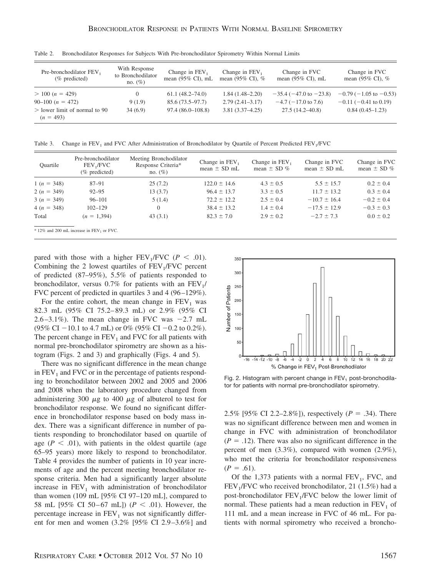| Pre-bronchodilator FEV,<br>$(\%$ predicted)    | With Response<br>to Bronchodilator<br>no. $(\%)$ | Change in $FEV1$<br>mean $(95\% \text{ CI})$ , mL | Change in $FEV1$<br>mean $(95\% \text{ CI})$ , % | Change in FVC<br>mean $(95\% \text{ CI})$ , mL | Change in FVC<br>mean $(95\% \text{ CI})$ , % |
|------------------------------------------------|--------------------------------------------------|---------------------------------------------------|--------------------------------------------------|------------------------------------------------|-----------------------------------------------|
| $> 100 (n = 429)$                              |                                                  | $61.1(48.2 - 74.0)$                               | $1.84(1.48-2.20)$                                | $-35.4$ ( $-47.0$ to $-23.8$ )                 | $-0.79(-1.05 \text{ to } -0.53)$              |
| $90-100 (n = 472)$                             | 9(1.9)                                           | $85.6(73.5 - 97.7)$                               | $2.79(2.41-3.17)$                                | $-4.7$ ( $-17.0$ to 7.6)                       | $-0.11$ (-0.41 to 0.19)                       |
| $>$ lower limit of normal to 90<br>$(n = 493)$ | 34(6.9)                                          | $97.4(86.0-108.8)$                                | $3.81(3.37 - 4.25)$                              | $27.5(14.2 - 40.8)$                            | $0.84(0.45-1.23)$                             |

Table 2. Bronchodilator Responses for Subjects With Pre-bronchodilator Spirometry Within Normal Limits

Table 3. Change in  $FEV_1$  and FVC After Administration of Bronchodilator by Quartile of Percent Predicted  $FEV_1/FVC$ 

| Ouartile     | Pre-bronchodilator<br>FEV JFVC<br>(% predicted)         | Meeting Bronchodilator<br>Response Criteria*<br>no. $(\%)$ | Change in FEV,<br>mean $\pm$ SD mL | Change in FEV,<br>mean $\pm$ SD % | Change in FVC<br>mean $\pm$ SD mL | Change in FVC<br>mean $\pm$ SD % |
|--------------|---------------------------------------------------------|------------------------------------------------------------|------------------------------------|-----------------------------------|-----------------------------------|----------------------------------|
| $1(n = 348)$ | $87 - 91$                                               | 25(7.2)                                                    | $122.0 \pm 14.6$                   | $4.3 \pm 0.5$                     | $5.5 \pm 15.7$                    | $0.2 \pm 0.4$                    |
| $2(n = 349)$ | $92 - 95$                                               | 13(3.7)                                                    | $96.4 \pm 13.7$                    | $3.3 \pm 0.5$                     | $11.7 \pm 13.2$                   | $0.3 \pm 0.4$                    |
| $3(n = 349)$ | $96 - 101$                                              | 5(1.4)                                                     | $72.2 \pm 12.2$                    | $2.5 \pm 0.4$                     | $-10.7 \pm 16.4$                  | $-0.2 \pm 0.4$                   |
| $4(n = 348)$ | $102 - 129$                                             | $\Omega$                                                   | $38.4 \pm 13.2$                    | $1.4 \pm 0.4$                     | $-17.5 \pm 12.9$                  | $-0.3 \pm 0.3$                   |
| Total        | $(n = 1,394)$                                           | 43(3.1)                                                    | $82.3 \pm 7.0$                     | $2.9 \pm 0.2$                     | $-2.7 \pm 7.3$                    | $0.0 \pm 0.2$                    |
|              | $*12\%$ and 200 mL increase in FEV <sub>1</sub> or FVC. |                                                            |                                    |                                   |                                   |                                  |

pared with those with a higher  $FEV_1/FVC$  ( $P < .01$ ). Combining the 2 lowest quartiles of  $FEV<sub>1</sub>/FVC$  percent of predicted (87–95%), 5.5% of patients responded to bronchodilator, versus  $0.7\%$  for patients with an FEV<sub>1</sub>/ FVC percent of predicted in quartiles 3 and 4 (96 –129%).

For the entire cohort, the mean change in  $FEV<sub>1</sub>$  was 82.3 mL (95% CI 75.2– 89.3 mL) or 2.9% (95% CI  $2.6 - 3.1\%$ ). The mean change in FVC was  $-2.7$  mL  $(95\% \text{ CI} - 10.1 \text{ to } 4.7 \text{ mL}) \text{ or } 0\%$   $(95\% \text{ CI} - 0.2 \text{ to } 0.2\%).$ The percent change in  $FEV<sub>1</sub>$  and FVC for all patients with normal pre-bronchodilator spirometry are shown as a histogram (Figs. 2 and 3) and graphically (Figs. 4 and 5).

There was no significant difference in the mean change in  $FEV<sub>1</sub>$  and FVC or in the percentage of patients responding to bronchodilator between 2002 and 2005 and 2006 and 2008 when the laboratory procedure changed from administering 300  $\mu$ g to 400  $\mu$ g of albuterol to test for bronchodilator response. We found no significant difference in bronchodilator response based on body mass index. There was a significant difference in number of patients responding to bronchodilator based on quartile of age  $(P < .01)$ , with patients in the oldest quartile (age 65–95 years) more likely to respond to bronchodilator. Table 4 provides the number of patients in 10 year increments of age and the percent meeting bronchodilator response criteria. Men had a significantly larger absolute increase in  $FEV<sub>1</sub>$  with administration of bronchodilator than women (109 mL [95% CI 97–120 mL], compared to 58 mL [95% CI 50-67 mL]) ( $P < .01$ ). However, the percentage increase in  $FEV<sub>1</sub>$  was not significantly different for men and women (3.2% [95% CI 2.9 –3.6%] and



Fig. 2. Histogram with percent change in  $FEV<sub>1</sub>$  post-bronchodilator for patients with normal pre-bronchodilator spirometry.

2.5% [95% CI 2.2–2.8%]), respectively  $(P = .34)$ . There was no significant difference between men and women in change in FVC with administration of bronchodilator  $(P = .12)$ . There was also no significant difference in the percent of men (3.3%), compared with women (2.9%), who met the criteria for bronchodilator responsiveness  $(P = .61)$ .

Of the 1,373 patients with a normal  $FEV<sub>1</sub>$ , FVC, and  $FEV<sub>1</sub>/FVC$  who received bronchodilator, 21 (1.5%) had a post-bronchodilator  $FEV<sub>1</sub>/FVC$  below the lower limit of normal. These patients had a mean reduction in  $FEV<sub>1</sub>$  of 111 mL and a mean increase in FVC of 46 mL. For patients with normal spirometry who received a broncho-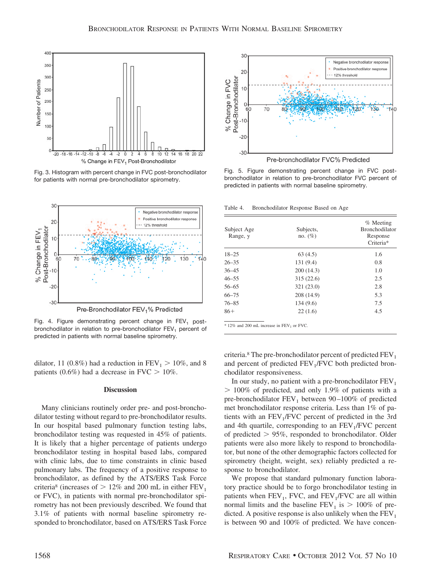

Fig. 3. Histogram with percent change in FVC post-bronchodilator for patients with normal pre-bronchodilator spirometry.



Fig. 4. Figure demonstrating percent change in  $FEV<sub>1</sub>$  postbronchodilator in relation to pre-bronchodilator  $FEV<sub>1</sub>$  percent of predicted in patients with normal baseline spirometry.

dilator, 11 (0.8%) had a reduction in  $FEV_1 > 10\%$ , and 8 patients (0.6%) had a decrease in  $FVC > 10\%$ .

#### **Discussion**

Many clinicians routinely order pre- and post-bronchodilator testing without regard to pre-bronchodilator results. In our hospital based pulmonary function testing labs, bronchodilator testing was requested in 45% of patients. It is likely that a higher percentage of patients undergo bronchodilator testing in hospital based labs, compared with clinic labs, due to time constraints in clinic based pulmonary labs. The frequency of a positive response to bronchodilator, as defined by the ATS/ERS Task Force criteria<sup>8</sup> (increases of  $> 12\%$  and 200 mL in either FEV<sub>1</sub> or FVC), in patients with normal pre-bronchodilator spirometry has not been previously described. We found that 3.1% of patients with normal baseline spirometry responded to bronchodilator, based on ATS/ERS Task Force



Fig. 5. Figure demonstrating percent change in FVC postbronchodilator in relation to pre-bronchodilator FVC percent of predicted in patients with normal baseline spirometry.

Table 4. Bronchodilator Response Based on Age

| Subject Age<br>Range, y | Subjects,<br>no. $(\% )$ | % Meeting<br><b>Bronchodilator</b><br>Response<br>Criteria* |
|-------------------------|--------------------------|-------------------------------------------------------------|
| $18 - 25$               | 63(4.5)                  | 1.6                                                         |
| $26 - 35$               | 131(9.4)                 | 0.8                                                         |
| $36 - 45$               | 200(14.3)                | 1.0                                                         |
| $46 - 55$               | 315(22.6)                | 2.5                                                         |
| $56 - 65$               | 321 (23.0)               | 2.8                                                         |
| $66 - 75$               | 208 (14.9)               | 5.3                                                         |
| $76 - 85$               | 134 (9.6)                | 7.5                                                         |
| $86+$                   | 22(1.6)                  | 4.5                                                         |

12% and 200 mL increase in  $FEV<sub>1</sub>$  or FVC.

criteria.<sup>8</sup> The pre-bronchodilator percent of predicted  $FEV<sub>1</sub>$ and percent of predicted  $FEV<sub>1</sub>/FVC$  both predicted bronchodilator responsiveness.

In our study, no patient with a pre-bronchodilator  $FEV<sub>1</sub>$ - 100% of predicted, and only 1.9% of patients with a pre-bronchodilator  $FEV_1$  between 90-100% of predicted met bronchodilator response criteria. Less than 1% of patients with an  $FEV<sub>1</sub>/FVC$  percent of predicted in the 3rd and 4th quartile, corresponding to an  $FEV<sub>1</sub>/FVC$  percent of predicted  $> 95\%$ , responded to bronchodilator. Older patients were also more likely to respond to bronchodilator, but none of the other demographic factors collected for spirometry (height, weight, sex) reliably predicted a response to bronchodilator.

We propose that standard pulmonary function laboratory practice should be to forgo bronchodilator testing in patients when  $FEV_1$ , FVC, and  $FEV_1/FVC$  are all within normal limits and the baseline  $FEV_1$  is  $> 100\%$  of predicted. A positive response is also unlikely when the  $FEV<sub>1</sub>$ is between 90 and 100% of predicted. We have concen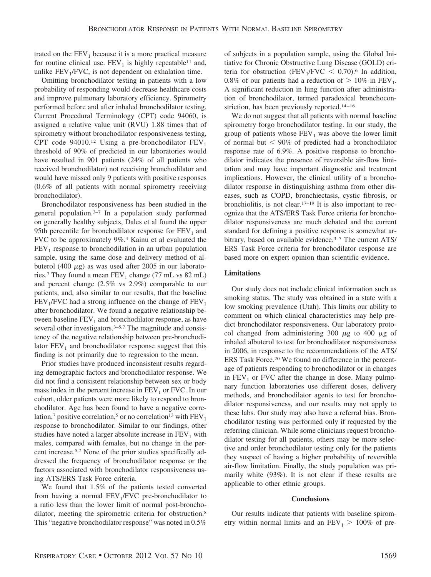trated on the  $FEV<sub>1</sub>$  because it is a more practical measure for routine clinical use.  $FEV<sub>1</sub>$  is highly repeatable<sup>11</sup> and, unlike  $FEV<sub>1</sub>/FVC$ , is not dependent on exhalation time.

Omitting bronchodilator testing in patients with a low probability of responding would decrease healthcare costs and improve pulmonary laboratory efficiency. Spirometry performed before and after inhaled bronchodilator testing, Current Procedural Terminology (CPT) code 94060, is assigned a relative value unit (RVU) 1.88 times that of spirometry without bronchodilator responsiveness testing, CPT code 94010.<sup>12</sup> Using a pre-bronchodilator  $FEV<sub>1</sub>$ threshold of 90% of predicted in our laboratories would have resulted in 901 patients (24% of all patients who received bronchodilator) not receiving bronchodilator and would have missed only 9 patients with positive responses (0.6% of all patients with normal spirometry receiving bronchodilator).

Bronchodilator responsiveness has been studied in the general population.3–7 In a population study performed on generally healthy subjects, Dales et al found the upper 95th percentile for bronchodilator response for  $FEV<sub>1</sub>$  and FVC to be approximately 9%.4 Kainu et al evaluated the  $FEV<sub>1</sub>$  response to bronchodilation in an urban population sample, using the same dose and delivery method of albuterol (400  $\mu$ g) as was used after 2005 in our laboratories.<sup>7</sup> They found a mean  $FEV_1$  change (77 mL vs 82 mL) and percent change (2.5% vs 2.9%) comparable to our patients, and, also similar to our results, that the baseline  $FEV<sub>1</sub>/FVC$  had a strong influence on the change of  $FEV<sub>1</sub>$ after bronchodilator. We found a negative relationship between baseline  $FEV<sub>1</sub>$  and bronchodilator response, as have several other investigators.<sup>3–5,7</sup> The magnitude and consistency of the negative relationship between pre-bronchodilator  $FEV<sub>1</sub>$  and bronchodilator response suggest that this finding is not primarily due to regression to the mean.

Prior studies have produced inconsistent results regarding demographic factors and bronchodilator response. We did not find a consistent relationship between sex or body mass index in the percent increase in  $FEV<sub>1</sub>$  or FVC. In our cohort, older patients were more likely to respond to bronchodilator. Age has been found to have a negative correlation,<sup>7</sup> positive correlation,<sup>5</sup> or no correlation<sup>13</sup> with  $FEV<sub>1</sub>$ response to bronchodilator. Similar to our findings, other studies have noted a larger absolute increase in  $FEV<sub>1</sub>$  with males, compared with females, but no change in the percent increase.5,7 None of the prior studies specifically addressed the frequency of bronchodilator response or the factors associated with bronchodilator responsiveness using ATS/ERS Task Force criteria.

We found that 1.5% of the patients tested converted from having a normal  $FEV<sub>1</sub>/FVC$  pre-bronchodilator to a ratio less than the lower limit of normal post-bronchodilator, meeting the spirometric criteria for obstruction.<sup>8</sup> This "negative bronchodilator response" was noted in 0.5% of subjects in a population sample, using the Global Initiative for Chronic Obstructive Lung Disease (GOLD) criteria for obstruction (FEV<sub>1</sub>/FVC  $\leq$  0.70).<sup>6</sup> In addition, 0.8% of our patients had a reduction of  $> 10\%$  in FEV<sub>1</sub>. A significant reduction in lung function after administration of bronchodilator, termed paradoxical bronchoconstriction, has been previously reported.<sup>14-16</sup>

We do not suggest that all patients with normal baseline spirometry forgo bronchodilator testing. In our study, the group of patients whose  $FEV<sub>1</sub>$  was above the lower limit of normal but  $< 90\%$  of predicted had a bronchodilator response rate of 6.9%. A positive response to bronchodilator indicates the presence of reversible air-flow limitation and may have important diagnostic and treatment implications. However, the clinical utility of a bronchodilator response in distinguishing asthma from other diseases, such as COPD, bronchiectasis, cystic fibrosis, or bronchiolitis, is not clear.17–19 It is also important to recognize that the ATS/ERS Task Force criteria for bronchodilator responsiveness are much debated and the current standard for defining a positive response is somewhat arbitrary, based on available evidence.<sup>3-7</sup> The current ATS/ ERS Task Force criteria for bronchodilator response are based more on expert opinion than scientific evidence.

# **Limitations**

Our study does not include clinical information such as smoking status. The study was obtained in a state with a low smoking prevalence (Utah). This limits our ability to comment on which clinical characteristics may help predict bronchodilator responsiveness. Our laboratory protocol changed from administering 300  $\mu$ g to 400  $\mu$ g of inhaled albuterol to test for bronchodilator responsiveness in 2006, in response to the recommendations of the ATS/ ERS Task Force.20 We found no difference in the percentage of patients responding to bronchodilator or in changes in  $FEV<sub>1</sub>$  or FVC after the change in dose. Many pulmonary function laboratories use different doses, delivery methods, and bronchodilator agents to test for bronchodilator responsiveness, and our results may not apply to these labs. Our study may also have a referral bias. Bronchodilator testing was performed only if requested by the referring clinician. While some clinicians request bronchodilator testing for all patients, others may be more selective and order bronchodilator testing only for the patients they suspect of having a higher probability of reversible air-flow limitation. Finally, the study population was primarily white (93%). It is not clear if these results are applicable to other ethnic groups.

#### **Conclusions**

Our results indicate that patients with baseline spirometry within normal limits and an  $FEV_1 > 100\%$  of pre